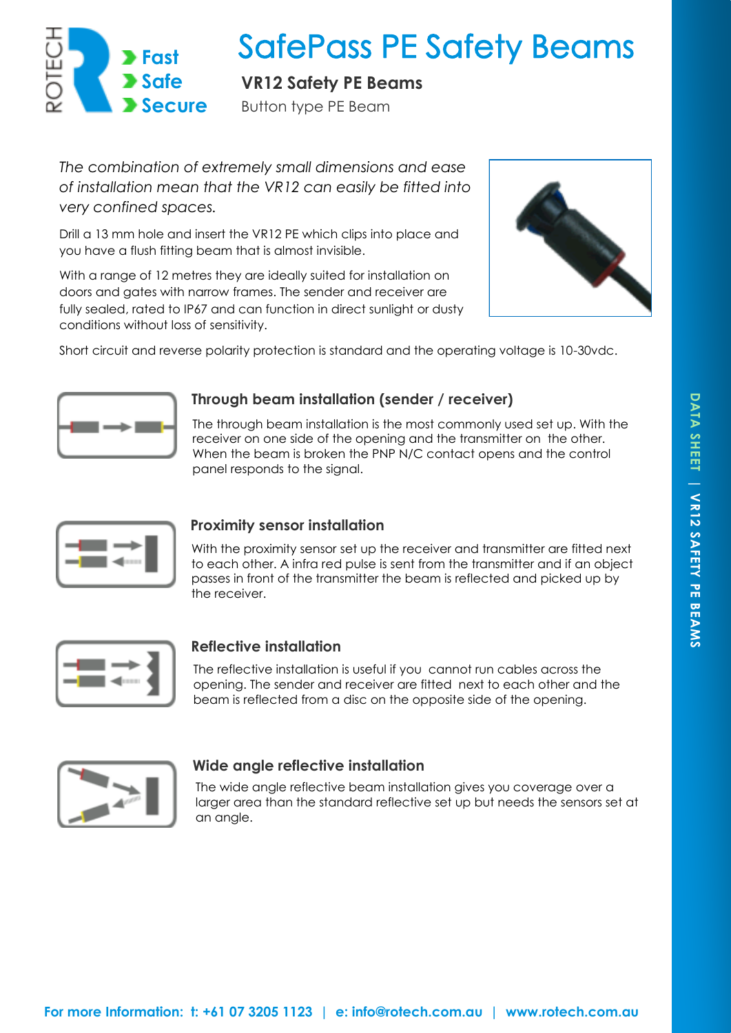

# **SafePass PE Safety Beams**

**VR12 Safety PE Beams** 

Button type PE Beam

*The combination of extremely small dimensions and ease of installation mean that the VR12 can easily be fitted into very confined spaces.* 

Drill a 13 mm hole and insert the VR12 PE which clips into place and you have a flush fitting beam that is almost invisible.

With a range of 12 metres they are ideally suited for installation on doors and gates with narrow frames. The sender and receiver are fully sealed, rated to IP67 and can function in direct sunlight or dusty conditions without loss of sensitivity.



Short circuit and reverse polarity protection is standard and the operating voltage is 10-30vdc.



# **Through beam installation (sender / receiver)**

The through beam installation is the most commonly used set up. With the receiver on one side of the opening and the transmitter on the other. When the beam is broken the PNP N/C contact opens and the control panel responds to the signal.



# **Proximity sensor installation**

With the proximity sensor set up the receiver and transmitter are fitted next to each other. A infra red pulse is sent from the transmitter and if an object passes in front of the transmitter the beam is reflected and picked up by the receiver.



# **Reflective installation**

The reflective installation is useful if you cannot run cables across the opening. The sender and receiver are fitted next to each other and the beam is reflected from a disc on the opposite side of the opening.



## **Wide angle reflective installation**

The wide angle reflective beam installation gives you coverage over a larger area than the standard reflective set up but needs the sensors set at an angle.